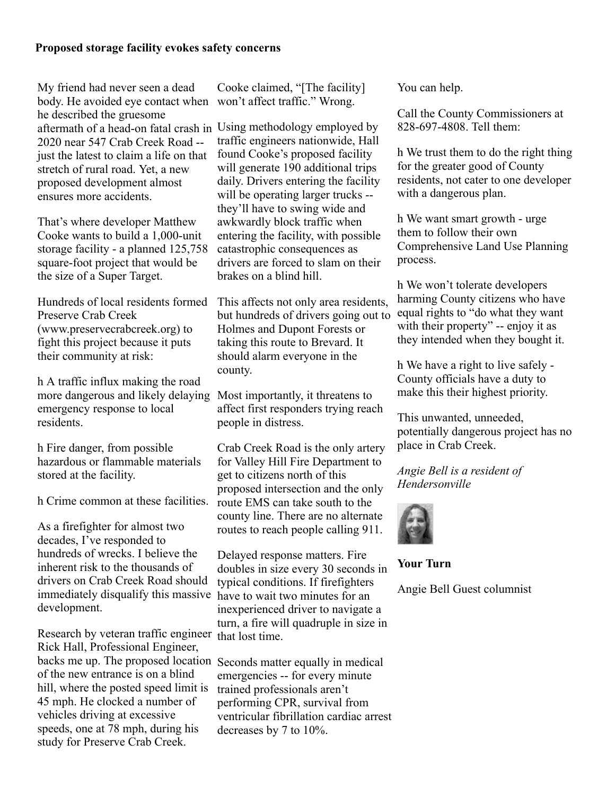## **Proposed storage facility evokes safety concerns**

My friend had never seen a dead body. He avoided eye contact when won't affect traffic." Wrong. he described the gruesome aftermath of a head-on fatal crash in Using methodology employed by 2020 near 547 Crab Creek Road - just the latest to claim a life on that stretch of rural road. Yet, a new proposed development almost ensures more accidents.

That's where developer Matthew Cooke wants to build a 1,000-unit storage facility - a planned 125,758 square-foot project that would be the size of a Super Target.

Hundreds of local residents formed Preserve Crab Creek (www.preservecrabcreek.org) to fight this project because it puts their community at risk:

h A traffic influx making the road more dangerous and likely delaying emergency response to local residents.

h Fire danger, from possible hazardous or flammable materials stored at the facility.

h Crime common at these facilities.

As a firefighter for almost two decades, I've responded to hundreds of wrecks. I believe the inherent risk to the thousands of drivers on Crab Creek Road should immediately disqualify this massive have to wait two minutes for an development.

Research by veteran traffic engineer that lost time. Rick Hall, Professional Engineer, backs me up. The proposed location Seconds matter equally in medical of the new entrance is on a blind hill, where the posted speed limit is 45 mph. He clocked a number of vehicles driving at excessive speeds, one at 78 mph, during his study for Preserve Crab Creek.

Cooke claimed, "[The facility]

traffic engineers nationwide, Hall found Cooke's proposed facility will generate 190 additional trips daily. Drivers entering the facility will be operating larger trucks -they'll have to swing wide and awkwardly block traffic when entering the facility, with possible catastrophic consequences as drivers are forced to slam on their brakes on a blind hill.

This affects not only area residents, but hundreds of drivers going out to Holmes and Dupont Forests or taking this route to Brevard. It should alarm everyone in the county.

Most importantly, it threatens to affect first responders trying reach people in distress.

Crab Creek Road is the only artery for Valley Hill Fire Department to get to citizens north of this proposed intersection and the only route EMS can take south to the county line. There are no alternate routes to reach people calling 911.

Delayed response matters. Fire doubles in size every 30 seconds in typical conditions. If firefighters inexperienced driver to navigate a turn, a fire will quadruple in size in

emergencies -- for every minute trained professionals aren't performing CPR, survival from ventricular fibrillation cardiac arrest decreases by 7 to 10%.

You can help.

Call the County Commissioners at 828-697-4808. Tell them:

h We trust them to do the right thing for the greater good of County residents, not cater to one developer with a dangerous plan.

h We want smart growth - urge them to follow their own Comprehensive Land Use Planning process.

h We won't tolerate developers harming County citizens who have equal rights to "do what they want with their property" -- enjoy it as they intended when they bought it.

h We have a right to live safely - County officials have a duty to make this their highest priority.

This unwanted, unneeded, potentially dangerous project has no place in Crab Creek.

*Angie Bell is a resident of Hendersonville*



**Your Turn**

Angie Bell Guest columnist